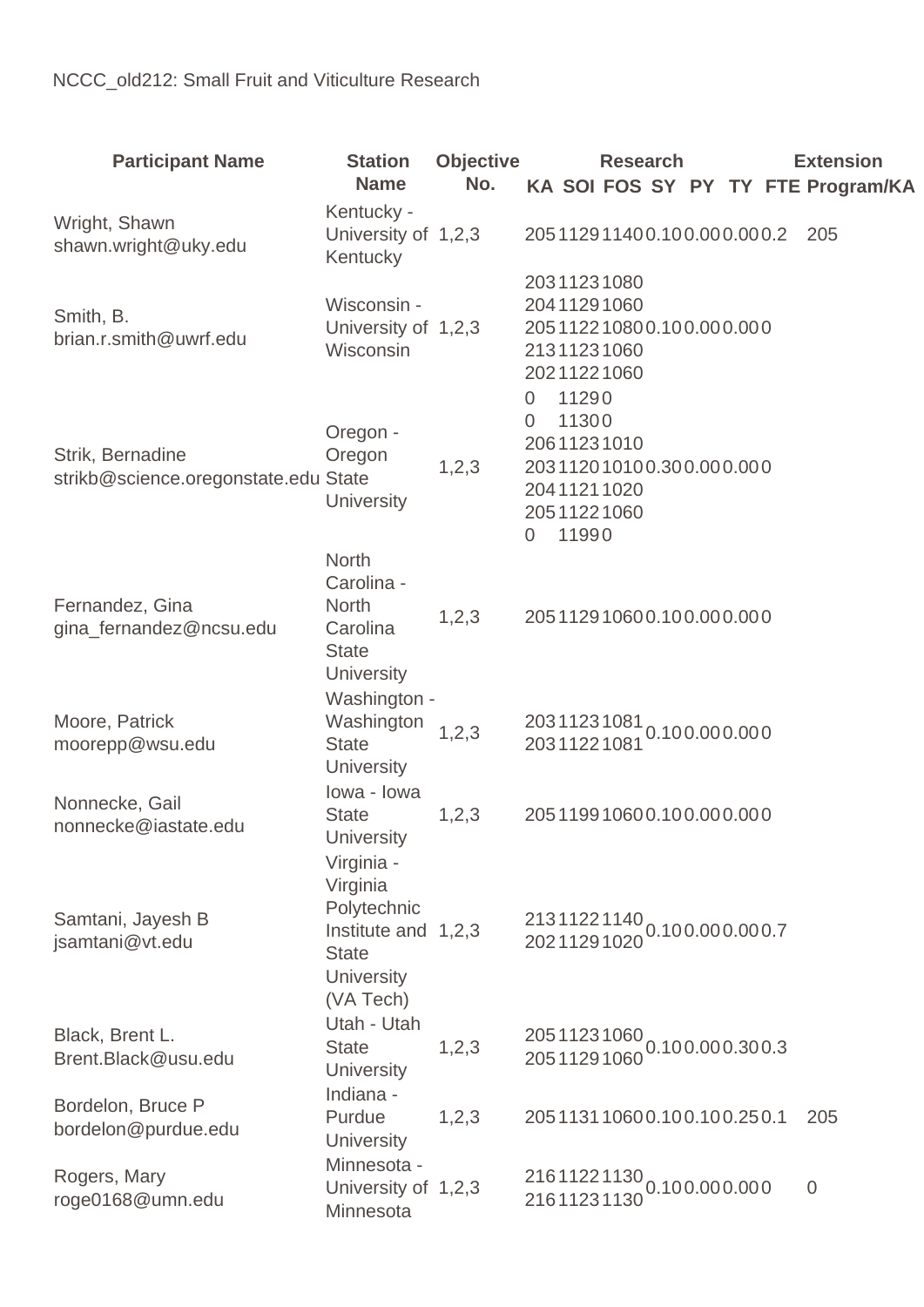| <b>Participant Name</b>                                  | <b>Station</b><br><b>Name</b>                                                                                  | <b>Objective</b><br>No. | <b>Research</b><br>KA SOI FOS SY PY TY FTE Program/KA                                                           | <b>Extension</b> |
|----------------------------------------------------------|----------------------------------------------------------------------------------------------------------------|-------------------------|-----------------------------------------------------------------------------------------------------------------|------------------|
| Wright, Shawn<br>shawn.wright@uky.edu                    | Kentucky -<br>University of 1,2,3<br>Kentucky                                                                  |                         | 205112911400.100.000.000.2                                                                                      | 205              |
| Smith, B.<br>brian.r.smith@uwrf.edu                      | Wisconsin -<br>University of 1,2,3<br>Wisconsin                                                                |                         | 20311231080<br>20411291060<br>205112210800.100.000.000<br>21311231060<br>20211221060                            |                  |
| Strik, Bernadine<br>strikb@science.oregonstate.edu State | Oregon -<br>Oregon<br><b>University</b>                                                                        | 1,2,3                   | 11290<br>0<br>11300<br>0<br>20611231010<br>203112010100.300.000.000<br>20411211020<br>20511221060<br>11990<br>0 |                  |
| Fernandez, Gina<br>gina_fernandez@ncsu.edu               | <b>North</b><br>Carolina -<br><b>North</b><br>Carolina<br><b>State</b><br><b>University</b>                    | 1,2,3                   | 205112910600.100.000.000                                                                                        |                  |
| Moore, Patrick<br>moorepp@wsu.edu                        | Washington -<br>Washington<br><b>State</b><br>University                                                       | 1, 2, 3                 | 20311231081<br>20311221081 <sup>0.100.000.000</sup>                                                             |                  |
| Nonnecke, Gail<br>nonnecke@iastate.edu                   | lowa - Iowa<br><b>State</b><br>University                                                                      | 1,2,3                   | 205119910600.100.000.000                                                                                        |                  |
| Samtani, Jayesh B<br>jsamtani@vt.edu                     | Virginia -<br>Virginia<br>Polytechnic<br>Institute and 1,2,3<br><b>State</b><br><b>University</b><br>(VA Tech) |                         | 21311221140<br>20211291020 <sup>0.100.000.000.7</sup>                                                           |                  |
| Black, Brent L.<br>Brent.Black@usu.edu                   | Utah - Utah<br><b>State</b><br><b>University</b>                                                               | 1,2,3                   | 20511231060 0.100.000.300.3<br>20511291060                                                                      |                  |
| Bordelon, Bruce P<br>bordelon@purdue.edu                 | Indiana -<br>Purdue<br><b>University</b>                                                                       | 1,2,3                   | 205113110600.100.100.250.1                                                                                      | 205              |
| Rogers, Mary<br>roge0168@umn.edu                         | Minnesota -<br>University of 1,2,3<br>Minnesota                                                                |                         | 216 1122 1130<br>216 1123 1130 0.10 0.00 0.00 0                                                                 | $\overline{0}$   |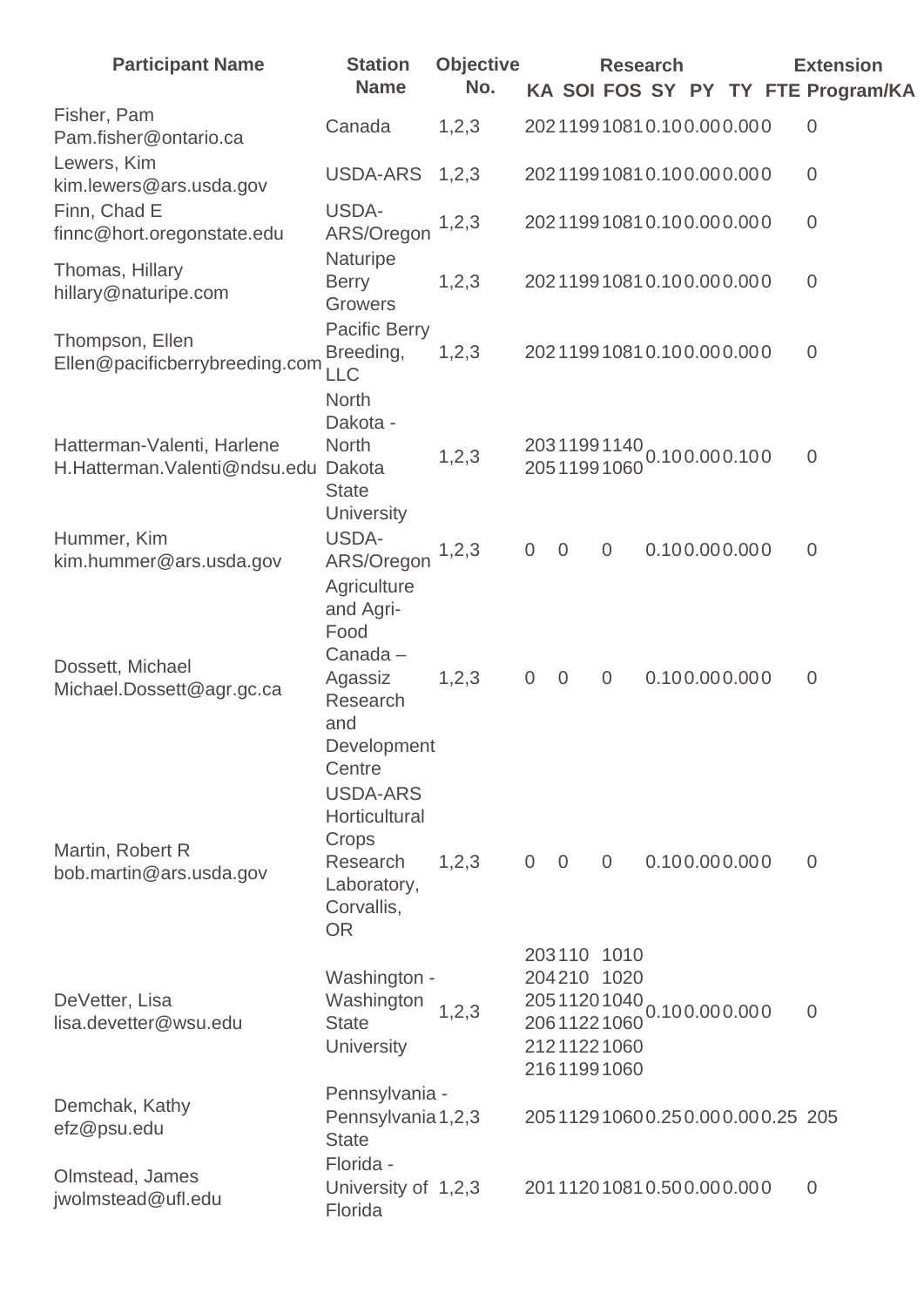| <b>Participant Name</b>                                    | <b>Station</b><br><b>Name</b>                                                                             | <b>Objective</b><br>No. |                                  | <b>Research</b>                                                                        |               |  | <b>Extension</b><br>KA SOI FOS SY PY TY FTE Program/KA |
|------------------------------------------------------------|-----------------------------------------------------------------------------------------------------------|-------------------------|----------------------------------|----------------------------------------------------------------------------------------|---------------|--|--------------------------------------------------------|
| Fisher, Pam<br>Pam.fisher@ontario.ca                       | Canada                                                                                                    | 1,2,3                   |                                  | 202119910810.100.000.000                                                               |               |  | $\theta$                                               |
| Lewers, Kim<br>kim.lewers@ars.usda.gov                     | USDA-ARS                                                                                                  | 1,2,3                   |                                  | 202119910810.100.000.000                                                               |               |  | $\theta$                                               |
| Finn, Chad E<br>finnc@hort.oregonstate.edu                 | USDA-<br>ARS/Oregon                                                                                       | 1, 2, 3                 |                                  | 202119910810.100.000.000                                                               |               |  | $\overline{0}$                                         |
| Thomas, Hillary<br>hillary@naturipe.com                    | Naturipe<br><b>Berry</b><br><b>Growers</b>                                                                | 1,2,3                   |                                  | 202119910810.100.000.000                                                               |               |  | $\overline{0}$                                         |
| Thompson, Ellen<br>Ellen@pacificberrybreeding.com          | <b>Pacific Berry</b><br>Breeding,<br>LLC                                                                  | 1,2,3                   |                                  | 202119910810.100.000.000                                                               |               |  | $\overline{0}$                                         |
| Hatterman-Valenti, Harlene<br>H.Hatterman.Valenti@ndsu.edu | <b>North</b><br>Dakota -<br><b>North</b><br>Dakota<br><b>State</b><br><b>University</b>                   | 1, 2, 3                 |                                  | 20311991140 0.100.000.100<br>20511991060                                               |               |  | $\overline{0}$                                         |
| Hummer, Kim<br>kim.hummer@ars.usda.gov                     | USDA-<br>ARS/Oregon<br>Agriculture<br>and Agri-                                                           | 1, 2, 3                 | $\overline{0}$<br>$\theta$       | $\overline{0}$                                                                         | 0.100.000.000 |  | $\overline{0}$                                         |
| Dossett, Michael<br>Michael.Dossett@agr.gc.ca              | Food<br>Canada-<br>Agassiz<br>Research<br>and<br>Development                                              | 1,2,3                   | $\overline{0}$<br>$\overline{0}$ | $\overline{0}$                                                                         | 0.100.000.000 |  | $\overline{0}$                                         |
| Martin, Robert R<br>bob.martin@ars.usda.gov                | Centre<br><b>USDA-ARS</b><br>Horticultural<br>Crops<br>Research<br>Laboratory,<br>Corvallis,<br><b>OR</b> | 1,2,3                   | $\overline{0}$<br>$\overline{0}$ | $\overline{0}$                                                                         | 0.100.000.000 |  | $\overline{0}$                                         |
| DeVetter, Lisa<br>lisa.devetter@wsu.edu                    | Washington -<br>Washington<br><b>State</b><br><b>University</b>                                           | 1, 2, 3                 |                                  | 203110 1010<br>204210 1020<br>20511201040<br>20611221060<br>21211221060<br>21611991060 | 0.100.000.000 |  | $\overline{0}$                                         |
| Demchak, Kathy<br>efz@psu.edu                              | Pennsylvania -<br>Pennsylvania 1,2,3<br><b>State</b>                                                      |                         |                                  | 205112910600.250.000.000.25 205                                                        |               |  |                                                        |
| Olmstead, James<br>jwolmstead@ufl.edu                      | Florida -<br>University of 1,2,3<br>Florida                                                               |                         |                                  | 201112010810.500.000.000                                                               |               |  | $\overline{0}$                                         |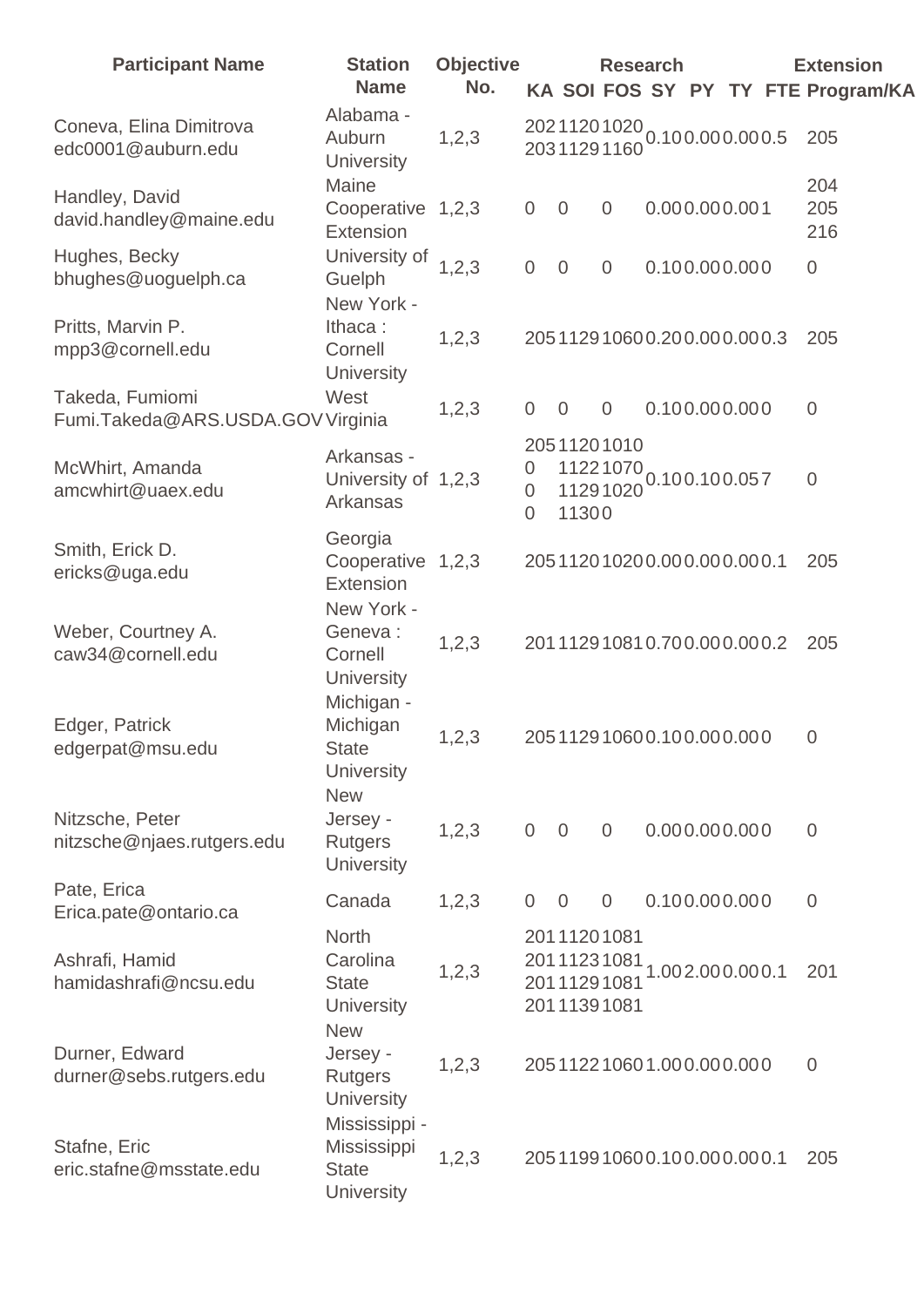| <b>Participant Name</b>                              | <b>Station</b><br><b>Name</b>                                 | <b>Objective</b><br>No. |                          |                |                                                          | <b>Research</b>             |  | <b>Extension</b><br>KA SOI FOS SY PY TY FTE Program/KA |
|------------------------------------------------------|---------------------------------------------------------------|-------------------------|--------------------------|----------------|----------------------------------------------------------|-----------------------------|--|--------------------------------------------------------|
| Coneva, Elina Dimitrova<br>edc0001@auburn.edu        | Alabama -<br>Auburn<br>University                             | 1,2,3                   |                          |                | 20311291160                                              | 20211201020 0.100.000.000.5 |  | 205                                                    |
| Handley, David<br>david.handley@maine.edu            | Maine<br>Cooperative 1,2,3<br>Extension                       |                         | $\boldsymbol{0}$         | $\overline{0}$ | $\overline{0}$                                           | 0.000.000.001               |  | 204<br>205<br>216                                      |
| Hughes, Becky<br>bhughes@uoguelph.ca                 | University of<br>Guelph<br>New York -                         | 1,2,3                   | $\mathbf 0$              | $\overline{0}$ | $\overline{0}$                                           | 0.100.000.000               |  | $\mathbf 0$                                            |
| Pritts, Marvin P.<br>mpp3@cornell.edu                | Ithaca:<br>Cornell<br><b>University</b>                       | 1,2,3                   |                          |                |                                                          | 205112910600.200.000.000.3  |  | 205                                                    |
| Takeda, Fumiomi<br>Fumi.Takeda@ARS.USDA.GOV Virginia | West                                                          | 1, 2, 3                 | $\overline{0}$           | $\overline{0}$ | $\overline{0}$                                           | 0.100.000.000               |  | $\overline{0}$                                         |
| McWhirt, Amanda<br>amcwhirt@uaex.edu                 | Arkansas -<br>University of 1,2,3<br>Arkansas                 |                         | 0<br>0<br>$\overline{0}$ | 11300          | 20511201010<br>11291020                                  | 11221070<br>0.100.100.057   |  | $\overline{0}$                                         |
| Smith, Erick D.<br>ericks@uga.edu                    | Georgia<br>Cooperative 1,2,3<br>Extension                     |                         |                          |                |                                                          | 205112010200.000.000.000.1  |  | 205                                                    |
| Weber, Courtney A.<br>caw34@cornell.edu              | New York -<br>Geneva:<br>Cornell<br><b>University</b>         | 1, 2, 3                 |                          |                |                                                          | 201112910810.700.000.000.2  |  | 205                                                    |
| Edger, Patrick<br>edgerpat@msu.edu                   | Michigan -<br>Michigan<br>State<br><b>University</b>          | 1,2,3                   |                          |                |                                                          | 205112910600.100.000.000    |  | $\overline{0}$                                         |
| Nitzsche, Peter<br>nitzsche@njaes.rutgers.edu        | <b>New</b><br>Jersey -<br><b>Rutgers</b><br><b>University</b> | 1,2,3                   | $\overline{0}$           | $\overline{0}$ | $\overline{0}$                                           | 0.000.000.000               |  | $\overline{0}$                                         |
| Pate, Erica<br>Erica.pate@ontario.ca                 | Canada                                                        | 1,2,3                   | $\overline{0}$           | $\overline{0}$ | $\overline{0}$                                           | 0.100.000.000               |  | $\overline{0}$                                         |
| Ashrafi, Hamid<br>hamidashrafi@ncsu.edu              | <b>North</b><br>Carolina<br><b>State</b><br><b>University</b> | 1,2,3                   |                          |                | 20111201081<br>20111231081<br>20111291081<br>20111391081 | 1.002.000.000.1             |  | 201                                                    |
| Durner, Edward<br>durner@sebs.rutgers.edu            | <b>New</b><br>Jersey -<br><b>Rutgers</b><br><b>University</b> | 1,2,3                   |                          |                |                                                          | 205112210601.000.000.000    |  | $\overline{0}$                                         |
| Stafne, Eric<br>eric.stafne@msstate.edu              | Mississippi -<br>Mississippi<br><b>State</b><br>University    | 1,2,3                   |                          |                |                                                          | 205119910600.100.000.000.1  |  | 205                                                    |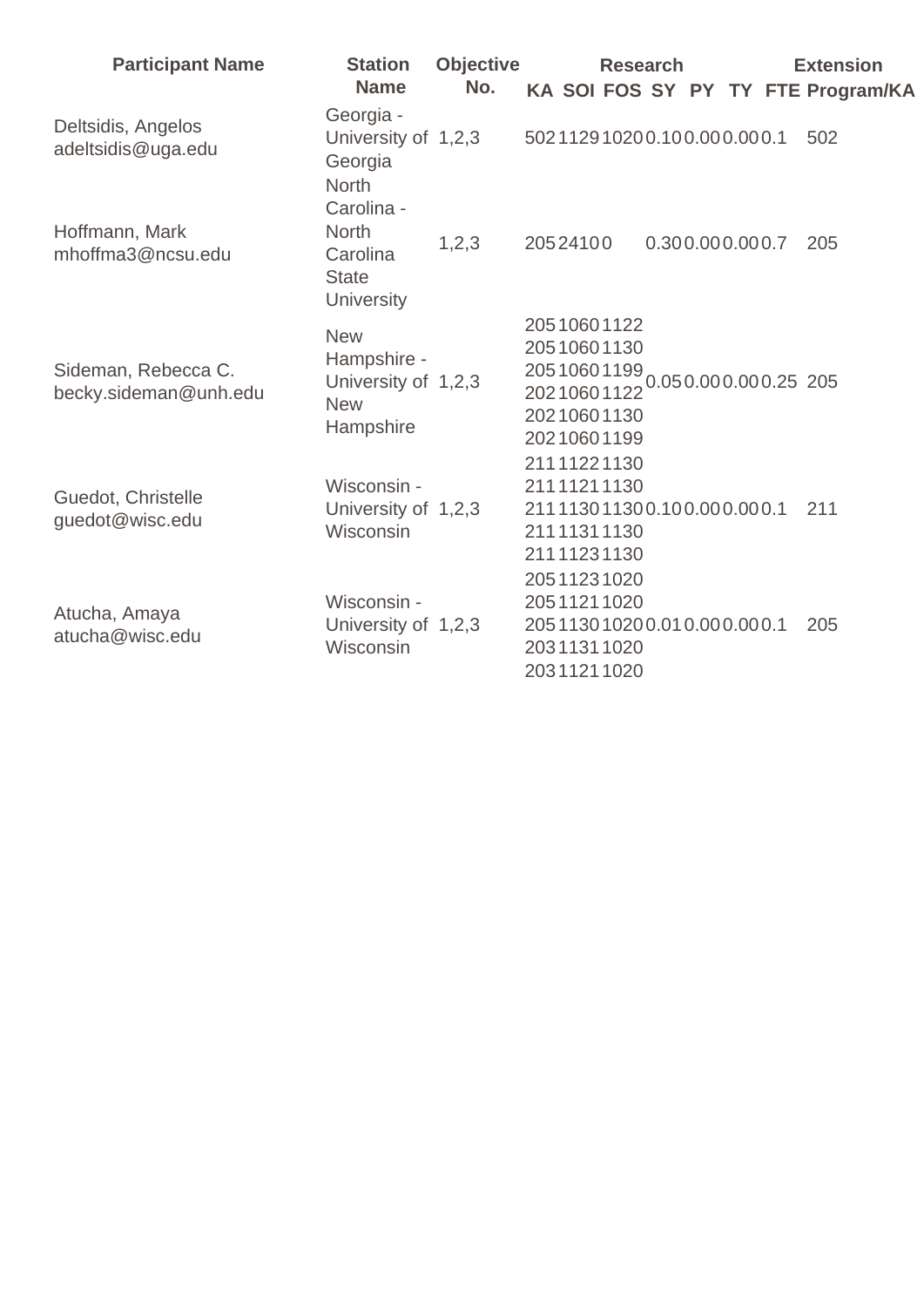| <b>Participant Name</b>                      | <b>Station</b><br><b>Name</b>                                               | <b>Objective</b><br>No. |                                                                                                                            | <b>Research</b> |                 |  | <b>Extension</b><br>KA SOI FOS SY PY TY FTE Program/KA |
|----------------------------------------------|-----------------------------------------------------------------------------|-------------------------|----------------------------------------------------------------------------------------------------------------------------|-----------------|-----------------|--|--------------------------------------------------------|
| Deltsidis, Angelos<br>adeltsidis@uga.edu     | Georgia -<br>University of 1,2,3<br>Georgia<br><b>North</b><br>Carolina -   |                         | 502112910200.100.000.000.1                                                                                                 |                 |                 |  | 502                                                    |
| Hoffmann, Mark<br>mhoffma3@ncsu.edu          | <b>North</b><br>Carolina<br><b>State</b><br><b>University</b>               | 1,2,3                   | 20524100                                                                                                                   |                 | 0.300.000.000.7 |  | 205                                                    |
| Sideman, Rebecca C.<br>becky.sideman@unh.edu | <b>New</b><br>Hampshire -<br>University of 1,2,3<br><b>New</b><br>Hampshire |                         | 20510601122<br>20510601130<br>20510601199<br>20210601122 0.050.000.000.25 205<br>20210601130<br>20210601199<br>21111221130 |                 |                 |  |                                                        |
| Guedot, Christelle<br>guedot@wisc.edu        | Wisconsin -<br>University of 1,2,3<br>Wisconsin                             |                         | 21111211130<br>211113011300.100.000.000.1<br>21111311130<br>21111231130<br>20511231020                                     |                 |                 |  | 211                                                    |
| Atucha, Amaya<br>atucha@wisc.edu             | Wisconsin -<br>University of 1,2,3<br>Wisconsin                             |                         | 20511211020<br>205113010200.010.000.000.1<br>20311311020<br>20311211020                                                    |                 |                 |  | 205                                                    |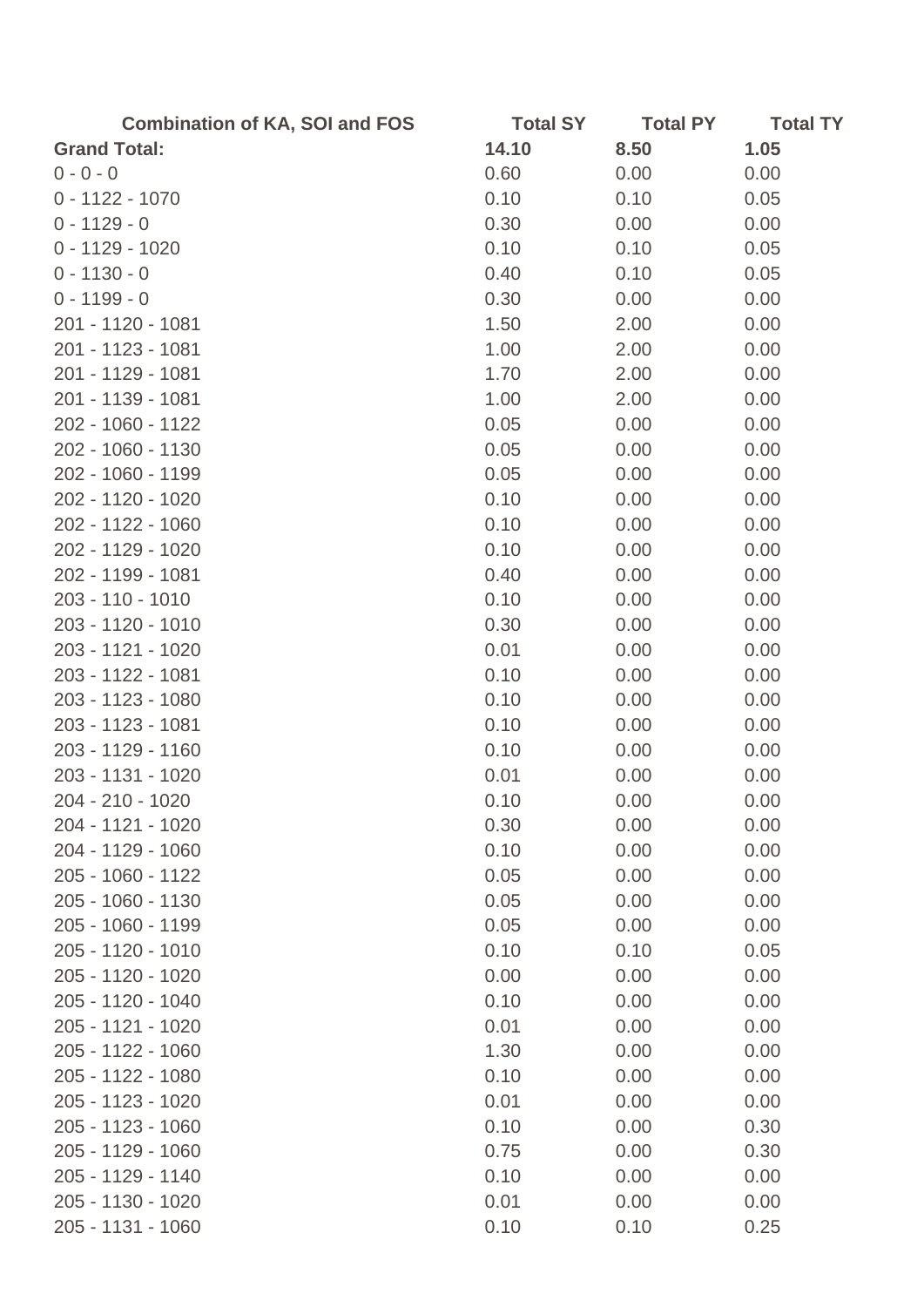| <b>Combination of KA, SOI and FOS</b> | <b>Total SY</b> | <b>Total PY</b> | <b>Total TY</b> |
|---------------------------------------|-----------------|-----------------|-----------------|
| <b>Grand Total:</b>                   | 14.10           | 8.50            | 1.05            |
| $0 - 0 - 0$                           | 0.60            | 0.00            | 0.00            |
| $0 - 1122 - 1070$                     | 0.10            | 0.10            | 0.05            |
| $0 - 1129 - 0$                        | 0.30            | 0.00            | 0.00            |
| $0 - 1129 - 1020$                     | 0.10            | 0.10            | 0.05            |
| $0 - 1130 - 0$                        | 0.40            | 0.10            | 0.05            |
| $0 - 1199 - 0$                        | 0.30            | 0.00            | 0.00            |
| 201 - 1120 - 1081                     | 1.50            | 2.00            | 0.00            |
| 201 - 1123 - 1081                     | 1.00            | 2.00            | 0.00            |
| 201 - 1129 - 1081                     | 1.70            | 2.00            | 0.00            |
| 201 - 1139 - 1081                     | 1.00            | 2.00            | 0.00            |
| 202 - 1060 - 1122                     | 0.05            | 0.00            | 0.00            |
| 202 - 1060 - 1130                     | 0.05            | 0.00            | 0.00            |
| 202 - 1060 - 1199                     | 0.05            | 0.00            | 0.00            |
| 202 - 1120 - 1020                     | 0.10            | 0.00            | 0.00            |
| 202 - 1122 - 1060                     | 0.10            | 0.00            | 0.00            |
| 202 - 1129 - 1020                     | 0.10            | 0.00            | 0.00            |
| 202 - 1199 - 1081                     | 0.40            | 0.00            | 0.00            |
| 203 - 110 - 1010                      | 0.10            | 0.00            | 0.00            |
| 203 - 1120 - 1010                     | 0.30            | 0.00            | 0.00            |
| 203 - 1121 - 1020                     | 0.01            | 0.00            | 0.00            |
| 203 - 1122 - 1081                     | 0.10            | 0.00            | 0.00            |
| 203 - 1123 - 1080                     | 0.10            | 0.00            | 0.00            |
| 203 - 1123 - 1081                     | 0.10            | 0.00            | 0.00            |
| 203 - 1129 - 1160                     | 0.10            | 0.00            | 0.00            |
| 203 - 1131 - 1020                     | 0.01            | 0.00            | 0.00            |
| 204 - 210 - 1020                      | 0.10            | 0.00            | 0.00            |
| 204 - 1121 - 1020                     | 0.30            | 0.00            | 0.00            |
| 204 - 1129 - 1060                     | 0.10            | 0.00            | 0.00            |
| 205 - 1060 - 1122                     | 0.05            | 0.00            | 0.00            |
| 205 - 1060 - 1130                     | 0.05            | 0.00            | 0.00            |
| 205 - 1060 - 1199                     | 0.05            | 0.00            | 0.00            |
| 205 - 1120 - 1010                     | 0.10            | 0.10            | 0.05            |
| 205 - 1120 - 1020                     | 0.00            | 0.00            | 0.00            |
| 205 - 1120 - 1040                     | 0.10            | 0.00            | 0.00            |
| 205 - 1121 - 1020                     | 0.01            | 0.00            | 0.00            |
| 205 - 1122 - 1060                     | 1.30            | 0.00            | 0.00            |
| 205 - 1122 - 1080                     | 0.10            | 0.00            | 0.00            |
| 205 - 1123 - 1020                     | 0.01            | 0.00            | 0.00            |
| 205 - 1123 - 1060                     | 0.10            | 0.00            | 0.30            |
| 205 - 1129 - 1060                     | 0.75            | 0.00            | 0.30            |
| 205 - 1129 - 1140                     | 0.10            | 0.00            | 0.00            |
| 205 - 1130 - 1020                     | 0.01            | 0.00            | 0.00            |
| 205 - 1131 - 1060                     | 0.10            | 0.10            | 0.25            |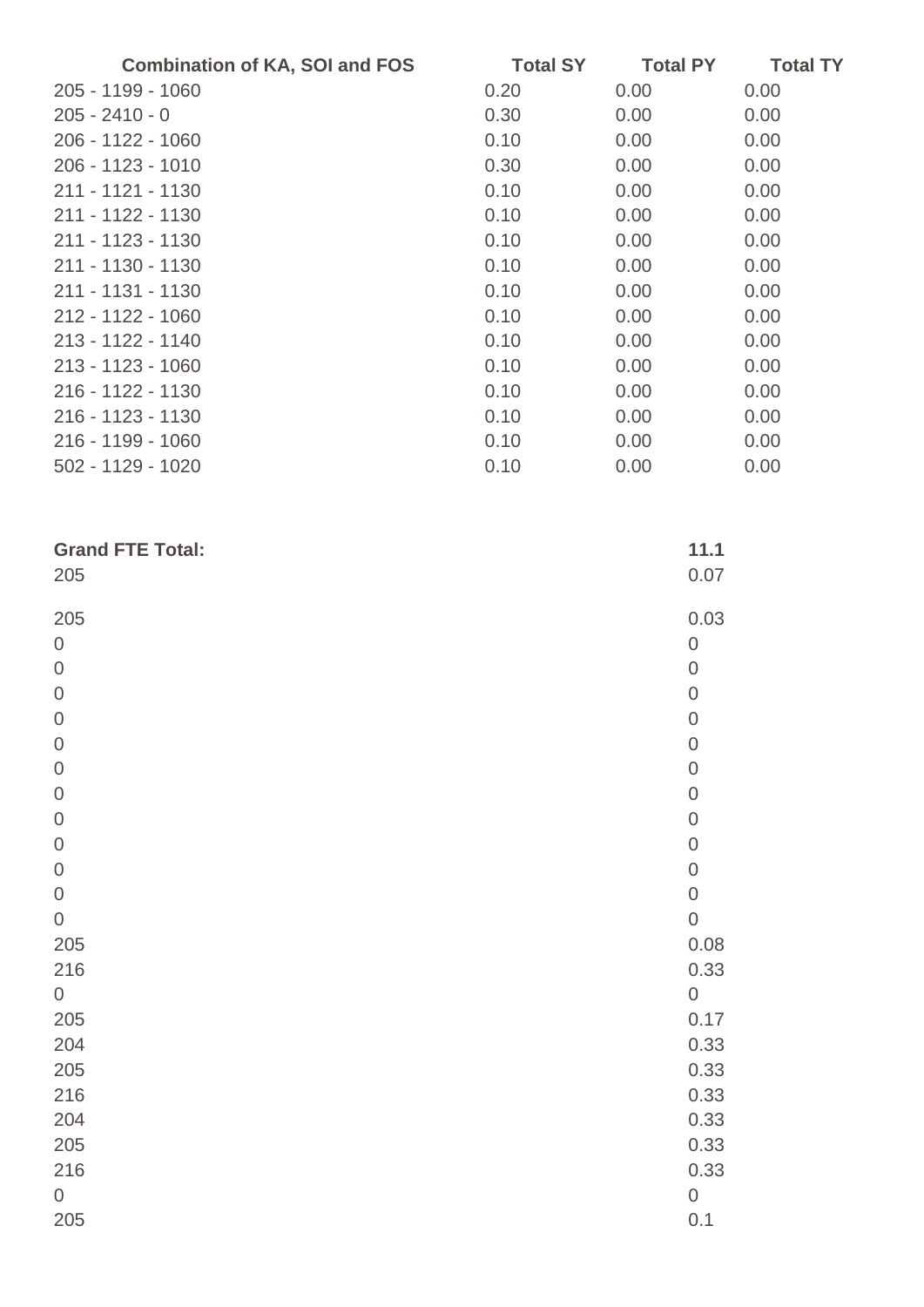| <b>Combination of KA, SOI and FOS</b> | <b>Total SY</b> | <b>Total PY</b> | <b>Total TY</b> |
|---------------------------------------|-----------------|-----------------|-----------------|
| 205 - 1199 - 1060                     | 0.20            | 0.00            | 0.00            |
| $205 - 2410 - 0$                      | 0.30            | 0.00            | 0.00            |
| 206 - 1122 - 1060                     | 0.10            | 0.00            | 0.00            |
| 206 - 1123 - 1010                     | 0.30            | 0.00            | 0.00            |
| 211 - 1121 - 1130                     | 0.10            | 0.00            | 0.00            |
| 211 - 1122 - 1130                     | 0.10            | 0.00            | 0.00            |
| 211 - 1123 - 1130                     | 0.10            | 0.00            | 0.00            |
| 211 - 1130 - 1130                     | 0.10            | 0.00            | 0.00            |
| 211 - 1131 - 1130                     | 0.10            | 0.00            | 0.00            |
| 212 - 1122 - 1060                     | 0.10            | 0.00            | 0.00            |
| 213 - 1122 - 1140                     | 0.10            | 0.00            | 0.00            |
| 213 - 1123 - 1060                     | 0.10            | 0.00            | 0.00            |
| 216 - 1122 - 1130                     | 0.10            | 0.00            | 0.00            |
| 216 - 1123 - 1130                     | 0.10            | 0.00            | 0.00            |
| 216 - 1199 - 1060                     | 0.10            | 0.00            | 0.00            |
| 502 - 1129 - 1020                     | 0.10            | 0.00            | 0.00            |

| <b>Grand FTE Total:</b> | 11.1             |
|-------------------------|------------------|
| 205                     | 0.07             |
| 205                     | 0.03             |
| $\mathbf 0$             | $\boldsymbol{0}$ |
| $\mathbf 0$             | $\mathbf 0$      |
| $\mathbf 0$             | $\mathbf 0$      |
| $\mathbf 0$             | $\mathbf 0$      |
| $\boldsymbol{0}$        | $\mathbf 0$      |
| $\mathbf 0$             | $\mathbf 0$      |
| $\boldsymbol{0}$        | $\mathbf 0$      |
| $\boldsymbol{0}$        | $\mathbf 0$      |
| $\mathbf 0$             | $\mathbf 0$      |
| $\mathbf 0$             | $\mathbf 0$      |
| $\mathbf 0$             | $\mathbf 0$      |
| $\boldsymbol{0}$        | $\mathbf 0$      |
| 205                     | 0.08             |
| 216                     | 0.33             |
| $\boldsymbol{0}$        | $\mathbf 0$      |
| 205                     | 0.17             |
| 204                     | 0.33             |
| 205                     | 0.33             |
| 216                     | 0.33             |
| 204                     | 0.33             |
| 205                     | 0.33             |
| 216                     | 0.33             |
| $\boldsymbol{0}$        | $\mathsf{O}$     |
| 205                     | 0.1              |